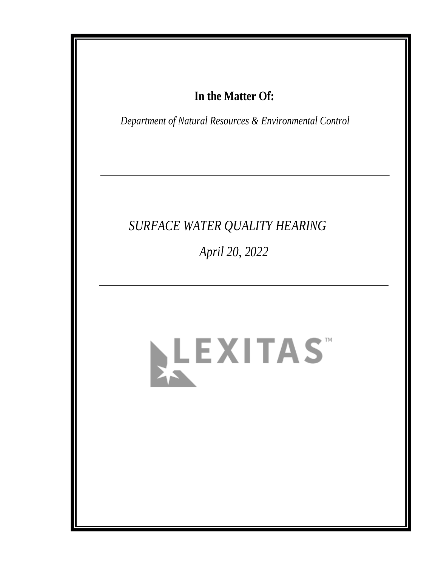## In the Matter Of:

Department of Natural Resources & Environmental Control

# SURFACE WATER QUALITY HEARING April 20, 2022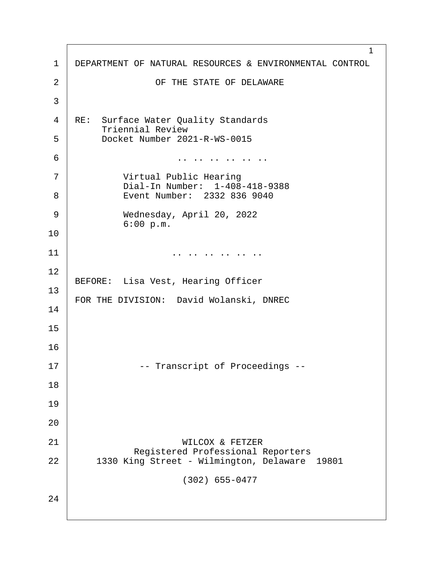| 1              | 1<br>DEPARTMENT OF NATURAL RESOURCES & ENVIRONMENTAL CONTROL                              |
|----------------|-------------------------------------------------------------------------------------------|
| $\overline{2}$ | OF THE STATE OF DELAWARE                                                                  |
| 3              |                                                                                           |
| 4              | RE: Surface Water Quality Standards<br><b>Triennial Review</b>                            |
| 5              | Docket Number 2021-R-WS-0015                                                              |
| 6              |                                                                                           |
| $\overline{7}$ | <b>Virtual Public Hearing</b><br>Dial-In Number: 1-408-418-9388                           |
| 8              | Event Number: 2332 836 9040                                                               |
| 9              | Wednesday, April 20, 2022<br>6:00 p.m.                                                    |
| 10             |                                                                                           |
| 11             |                                                                                           |
| 12             | BEFORE: Lisa Vest, Hearing Officer                                                        |
| 13             |                                                                                           |
| 14             | FOR THE DIVISION: David Wolanski, DNREC                                                   |
| 15             |                                                                                           |
| 16             |                                                                                           |
| 17             | -- Transcript of Proceedings --                                                           |
| 18             |                                                                                           |
| 19             |                                                                                           |
| 20             |                                                                                           |
| 21             | <b>WILCOX &amp; FETZER</b>                                                                |
| 22             | <b>Registered Professional Reporters</b><br>1330 King Street - Wilmington, Delaware 19801 |
|                | (302) 655-0477                                                                            |
| 24             |                                                                                           |
|                |                                                                                           |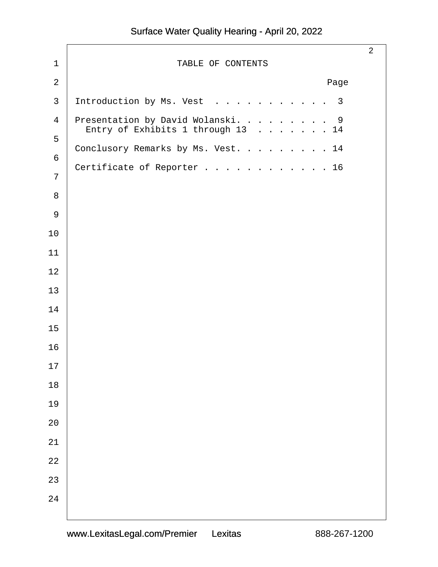| 1               | TABLE OF CONTENTS                                                       | $\overline{2}$ |
|-----------------|-------------------------------------------------------------------------|----------------|
| $\overline{2}$  | Page                                                                    |                |
| $\mathfrak{B}$  | Introduction by Ms. Vest 3                                              |                |
| 4<br>5          | Presentation by David Wolanski. 9<br>Entry of Exhibits 1 through $1314$ |                |
| $6\phantom{1}6$ | Conclusory Remarks by Ms. Vest. 14                                      |                |
| $\overline{7}$  | Certificate of Reporter 16                                              |                |
| 8               |                                                                         |                |
| $9\,$           |                                                                         |                |
| 10              |                                                                         |                |
| 11              |                                                                         |                |
| 12              |                                                                         |                |
| 13              |                                                                         |                |
| 14              |                                                                         |                |
| 15              |                                                                         |                |
| 16              |                                                                         |                |
| 17              |                                                                         |                |
| 18              |                                                                         |                |
| 19              |                                                                         |                |
| 20              |                                                                         |                |
| 21              |                                                                         |                |
| 22              |                                                                         |                |
| 23              |                                                                         |                |
| 24              |                                                                         |                |
|                 |                                                                         |                |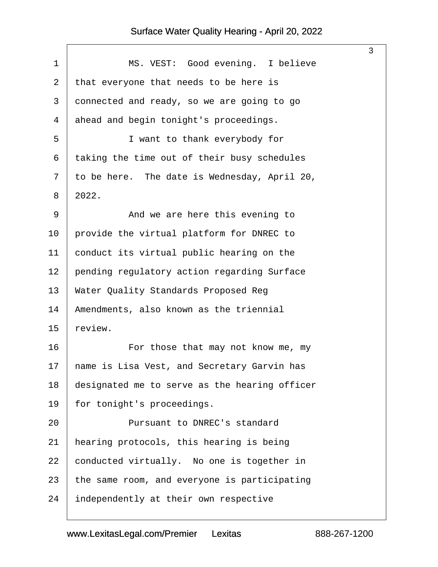<span id="page-3-0"></span>

|                  |                                               | 3 |
|------------------|-----------------------------------------------|---|
| 1                | MS. VEST: Good evening. I believe             |   |
| $\overline{2}$   | that everyone that needs to be here is        |   |
| 3                | donnected and ready, so we are going to go    |   |
| 4                | ahead and begin tonight's proceedings.        |   |
| 5                | I want to thank everybody for                 |   |
| 6                | taking the time out of their busy schedules   |   |
| $\mathbf{7}$     | to be here. The date is Wednesday, April 20,  |   |
| 8                | 2022.                                         |   |
| 9                | And we are here this evening to               |   |
| 10               | provide the virtual platform for DNREC to     |   |
| 11               | conduct its virtual public hearing on the     |   |
| 12               | pending regulatory action regarding Surface   |   |
| 13               | <b>Water Quality Standards Proposed Reg</b>   |   |
| 14               | Amendments, also known as the triennial       |   |
| 15               | review.                                       |   |
| 16               | For those that may not know me, my            |   |
| 17 <sup>17</sup> | hame is Lisa Vest, and Secretary Garvin has   |   |
| 18               | designated me to serve as the hearing officer |   |
| 19               | for tonight's proceedings.                    |   |
| 20               | <b>Pursuant to DNREC's standard</b>           |   |
| 21               | hearing protocols, this hearing is being      |   |
| 22               | conducted virtually. No one is together in    |   |
| 23               | the same room, and everyone is participating  |   |
| 24               | independently at their own respective         |   |
|                  |                                               |   |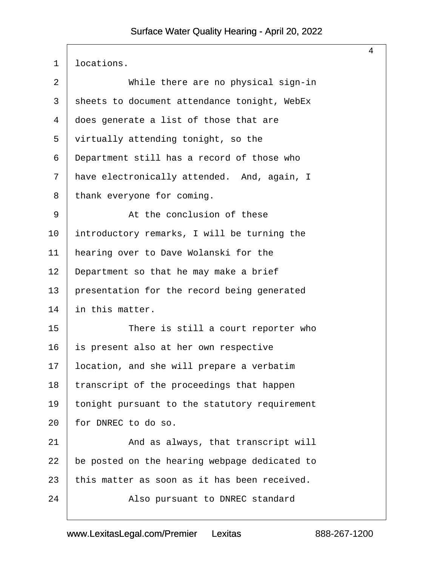<span id="page-4-0"></span>

| 1  | Ibcations.                                    |
|----|-----------------------------------------------|
| 2  | While there are no physical sign-in           |
| 3  | sheets to document attendance tonight, WebEx  |
| 4  | does generate a list of those that are        |
| 5  | virtually attending tonight, so the           |
| 6  | Department still has a record of those who    |
| 7  | have electronically attended. And, again, I   |
| 8  | thank everyone for coming.                    |
| 9  | At the conclusion of these                    |
| 10 | introductory remarks, I will be turning the   |
| 11 | hearing over to Dave Wolanski for the         |
| 12 | Department so that he may make a brief        |
| 13 | presentation for the record being generated   |
| 14 | in this matter.                               |
| 15 | There is still a court reporter who           |
| 16 | s present also at her own respective          |
| 17 | ocation, and she will prepare a verbatim      |
| 18 | transcript of the proceedings that happen     |
| 19 | onight pursuant to the statutory requirement  |
| 20 | for DNREC to do so.                           |
| 21 | And as always, that transcript will           |
| 22 | be posted on the hearing webpage dedicated to |
| 23 | this matter as soon as it has been received.  |
| 24 | Also pursuant to DNREC standard               |
|    |                                               |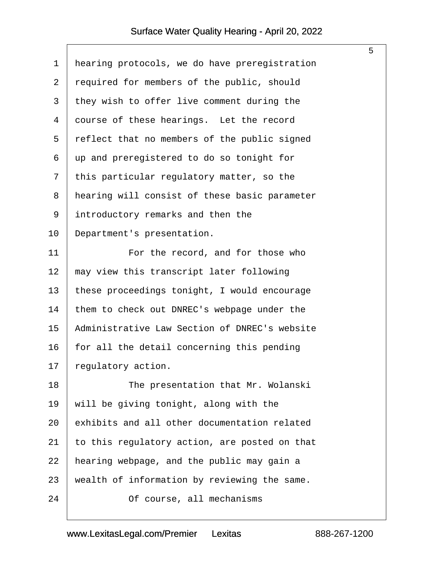<span id="page-5-0"></span>

| 1              | hearing protocols, we do have preregistration |
|----------------|-----------------------------------------------|
| $\mathbf{2}$   | required for members of the public, should    |
| 3              | they wish to offer live comment during the    |
| 4              | dourse of these hearings. Let the record      |
| 5              | reflect that no members of the public signed  |
| 6              | up and preregistered to do so tonight for     |
| $\overline{7}$ | this particular regulatory matter, so the     |
| 8              | hearing will consist of these basic parameter |
| 9              | introductory remarks and then the             |
| 10             | Department's presentation.                    |
| 11             | For the record, and for those who             |
| 12             | may view this transcript later following      |
| 13             | these proceedings tonight, I would encourage  |
| 14             | them to check out DNREC's webpage under the   |
| 15             | Administrative Law Section of DNREC's website |
| 16             | for all the detail concerning this pending    |
| 17             | egulatory action.                             |
| 18             | The presentation that Mr. Wolanski            |
| 19             | will be giving tonight, along with the        |
| 20             | exhibits and all other documentation related  |
| 21             | to this regulatory action, are posted on that |
| 22             | hearing webpage, and the public may gain a    |
| 23             | wealth of information by reviewing the same.  |
| 24             | Of course, all mechanisms                     |
|                |                                               |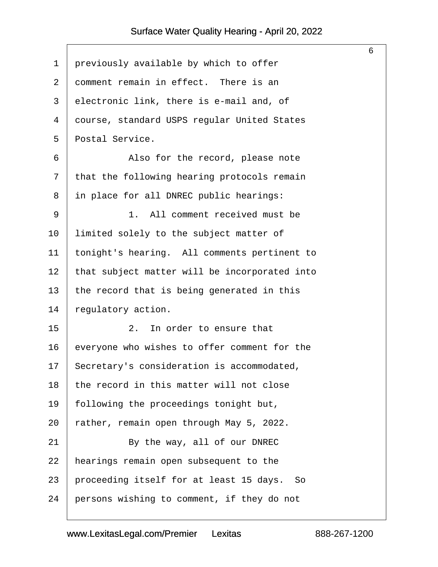<span id="page-6-0"></span>

|    |                                               | 6 |
|----|-----------------------------------------------|---|
| 1  | previously available by which to offer        |   |
| 2  | domment remain in effect. There is an         |   |
| 3  | electronic link, there is e-mail and, of      |   |
| 4  | dourse, standard USPS regular United States   |   |
| 5  | Postal Service.                               |   |
| 6  | Also for the record, please note              |   |
| 7  | that the following hearing protocols remain   |   |
| 8  | in place for all DNREC public hearings:       |   |
| 9  | 1. All comment received must be               |   |
| 10 | limited solely to the subject matter of       |   |
| 11 | tonight's hearing. All comments pertinent to  |   |
| 12 | that subject matter will be incorporated into |   |
| 13 | the record that is being generated in this    |   |
| 14 | regulatory action.                            |   |
| 15 | 2. In order to ensure that                    |   |
| 16 | everyone who wishes to offer comment for the  |   |
| 17 | Secretary's consideration is accommodated,    |   |
| 18 | the record in this matter will not close      |   |
| 19 | following the proceedings tonight but,        |   |
| 20 | ather, remain open through May 5, 2022.       |   |
| 21 | By the way, all of our DNREC                  |   |
| 22 | hearings remain open subsequent to the        |   |
| 23 | proceeding itself for at least 15 days. So    |   |
| 24 | persons wishing to comment, if they do not    |   |
|    |                                               |   |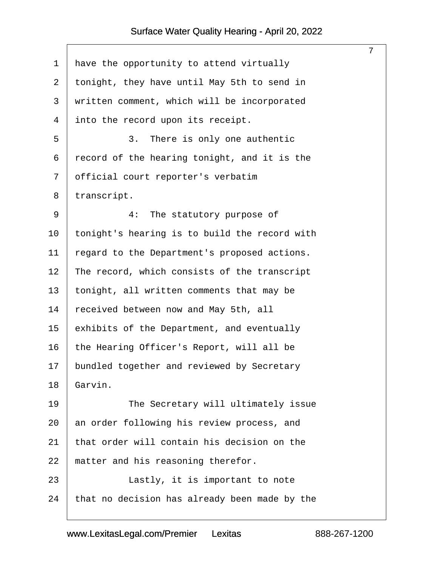<span id="page-7-0"></span>

|    |                                               | $\overline{7}$ |
|----|-----------------------------------------------|----------------|
| 1  | have the opportunity to attend virtually      |                |
| 2  | tonight, they have until May 5th to send in   |                |
| 3  | written comment, which will be incorporated   |                |
| 4  | into the record upon its receipt.             |                |
| 5  | 3. There is only one authentic                |                |
| 6  | record of the hearing tonight, and it is the  |                |
| 7  | official court reporter's verbatim            |                |
| 8  | transcript.                                   |                |
| 9  | 4: The statutory purpose of                   |                |
| 10 | tonight's hearing is to build the record with |                |
| 11 | egard to the Department's proposed actions.   |                |
| 12 | The record, which consists of the transcript  |                |
| 13 | tonight, all written comments that may be     |                |
| 14 | received between now and May 5th, all         |                |
| 15 | exhibits of the Department, and eventually    |                |
| 16 | the Hearing Officer's Report, will all be     |                |
| 17 | bundled together and reviewed by Secretary    |                |
| 18 | Garvin.                                       |                |
| 19 | The Secretary will ultimately issue           |                |
| 20 | an order following his review process, and    |                |
| 21 | that order will contain his decision on the   |                |
| 22 | matter and his reasoning therefor.            |                |
| 23 | Lastly, it is important to note               |                |
| 24 | that no decision has already been made by the |                |
|    |                                               |                |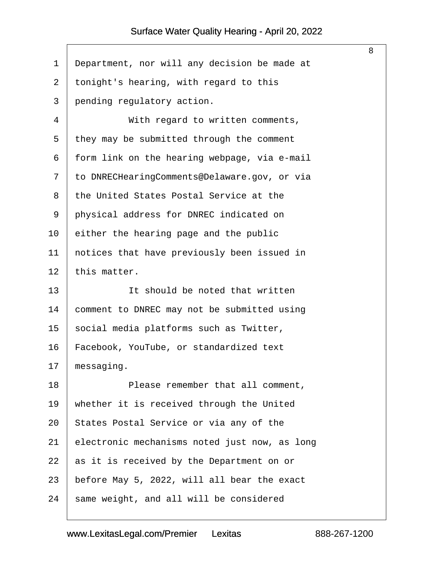- <span id="page-8-0"></span>1 Department, nor will any decision be made at
- 2 tonight's hearing, with regard to this
- 3 pending regulatory action.
- 4 | With regard to written comments,
- 5 they may be submitted through the comment
- 6 form link on the hearing webpage, via e-mail
- 7 to DNRECHearingComments@Delaware.gov, or via
- 8 the United States Postal Service at the
- 9 physical address for DNREC indicated on
- 10 bither the hearing page and the public
- 11 hotices that have previously been issued in
- 12 this matter.
- 13 **I It should be noted that written**
- 14 comment to DNREC may not be submitted using
- 15 social media platforms such as Twitter,
- 16 Facebook, YouTube, or standardized text

17  *messaging.* 

- 18 **Please remember that all comment,**
- 19 whether it is received through the United
- 20 States Postal Service or via any of the
- 21 electronic mechanisms noted just now, as long
- 22 as it is received by the Department on or
- 23 before May 5, 2022, will all bear the exact
- 24 same weight, and all will be considered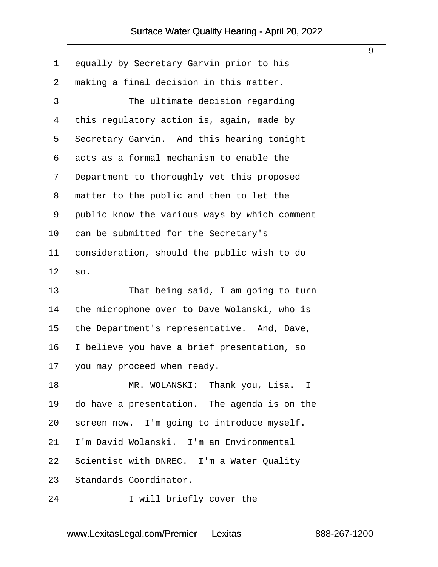<span id="page-9-0"></span>

| 1  | equally by Secretary Garvin prior to his      |
|----|-----------------------------------------------|
| 2  | making a final decision in this matter.       |
| 3  | The ultimate decision regarding               |
| 4  | this regulatory action is, again, made by     |
| 5  | Secretary Garvin. And this hearing tonight    |
| 6  | acts as a formal mechanism to enable the      |
| 7  | Department to thoroughly vet this proposed    |
| 8  | matter to the public and then to let the      |
| 9  | public know the various ways by which comment |
| 10 | can be submitted for the Secretary's          |
| 11 | consideration, should the public wish to do   |
| 12 | \$0.                                          |
| 13 | That being said, I am going to turn           |
| 14 | the microphone over to Dave Wolanski, who is  |
| 15 | the Department's representative. And, Dave,   |
| 16 | believe you have a brief presentation, so     |
| 17 | you may proceed when ready.                   |
| 18 | MR. WOLANSKI: Thank you, Lisa. I              |
| 19 | do have a presentation. The agenda is on the  |
| 20 | screen now. I'm going to introduce myself.    |
| 21 | 'm David Wolanski. I'm an Environmental       |
| 22 | Scientist with DNREC. I'm a Water Quality     |
| 23 | Standards Coordinator.                        |
| 24 | I will briefly cover the                      |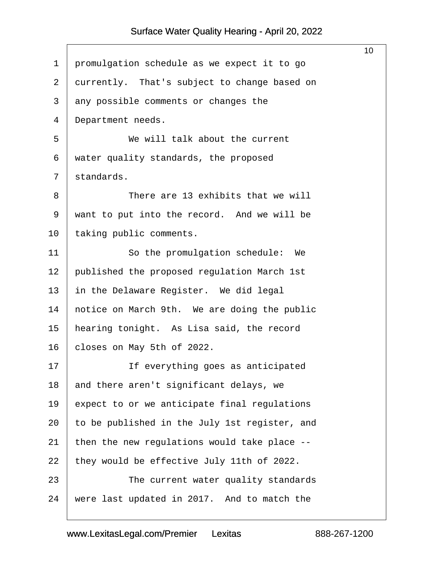<span id="page-10-0"></span>

|                |                                               | 10 |
|----------------|-----------------------------------------------|----|
| 1              | promulgation schedule as we expect it to go   |    |
| $\overline{2}$ | durrently. That's subject to change based on  |    |
| 3              | any possible comments or changes the          |    |
| 4              | Department needs.                             |    |
| 5              | We will talk about the current                |    |
| 6              | water quality standards, the proposed         |    |
| $\overline{7}$ | standards.                                    |    |
| 8              | There are 13 exhibits that we will            |    |
| 9              | want to put into the record. And we will be   |    |
| 10             | taking public comments.                       |    |
| 11             | So the promulgation schedule: We              |    |
| 12             | published the proposed regulation March 1st   |    |
| 13             | in the Delaware Register. We did legal        |    |
| 14             | hotice on March 9th. We are doing the public  |    |
| 15             | hearing tonight. As Lisa said, the record     |    |
| 16             | closes on May 5th of 2022.                    |    |
| 17             | If everything goes as anticipated             |    |
| 18             | and there aren't significant delays, we       |    |
| 19             | expect to or we anticipate final regulations  |    |
| 20             | to be published in the July 1st register, and |    |
| 21             | then the new regulations would take place --  |    |
| 22             | they would be effective July 11th of 2022.    |    |
| 23             | The current water quality standards           |    |
| 24             | were last updated in 2017. And to match the   |    |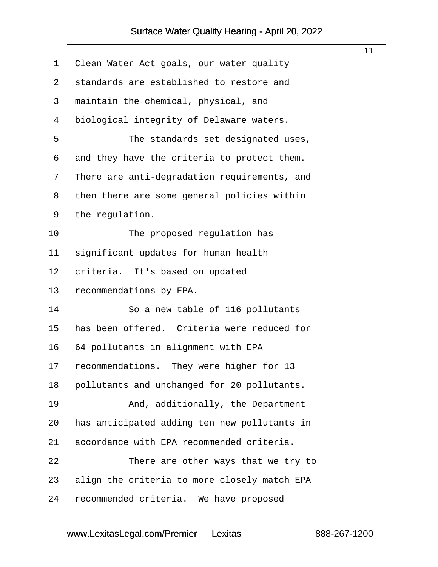$\Gamma$ 

<span id="page-11-0"></span>

|    |                                              | 11 |
|----|----------------------------------------------|----|
| 1  | Clean Water Act goals, our water quality     |    |
| 2  | standards are established to restore and     |    |
| 3  | maintain the chemical, physical, and         |    |
| 4  | biological integrity of Delaware waters.     |    |
| 5  | The standards set designated uses,           |    |
| 6  | and they have the criteria to protect them.  |    |
| 7  | There are anti-degradation requirements, and |    |
| 8  | then there are some general policies within  |    |
| 9  | the regulation.                              |    |
| 10 | The proposed regulation has                  |    |
| 11 | significant updates for human health         |    |
| 12 | criteria. It's based on updated              |    |
| 13 | ecommendations by EPA.                       |    |
| 14 | So a new table of 116 pollutants             |    |
| 15 | has been offered. Criteria were reduced for  |    |
| 16 | 64 pollutants in alignment with EPA          |    |
| 17 | recommendations. They were higher for 13     |    |
| 18 | pollutants and unchanged for 20 pollutants.  |    |
| 19 | And, additionally, the Department            |    |
| 20 | has anticipated adding ten new pollutants in |    |
| 21 | accordance with EPA recommended criteria.    |    |
| 22 | There are other ways that we try to          |    |
| 23 | align the criteria to more closely match EPA |    |
| 24 | ecommended criteria. We have proposed        |    |
|    |                                              |    |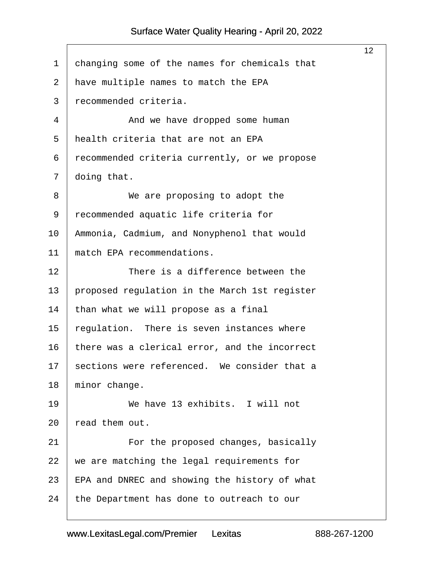<span id="page-12-0"></span>

|              |                                                 | 12 |
|--------------|-------------------------------------------------|----|
| 1            | changing some of the names for chemicals that   |    |
| $\mathbf{2}$ | have multiple names to match the EPA            |    |
| 3            | recommended criteria.                           |    |
| 4            | And we have dropped some human                  |    |
| 5            | health criteria that are not an EPA             |    |
| 6            | recommended criteria currently, or we propose   |    |
| 7            | doing that.                                     |    |
| 8            | We are proposing to adopt the                   |    |
| 9            | recommended aquatic life criteria for           |    |
| 10           | Ammonia, Cadmium, and Nonyphenol that would     |    |
| 11           | match EPA recommendations.                      |    |
| 12           | There is a difference between the               |    |
| 13           | proposed regulation in the March 1st register   |    |
| 14           | than what we will propose as a final            |    |
| 15           | regulation. There is seven instances where      |    |
| 16           | there was a clerical error, and the incorrect   |    |
|              | 17 sections were referenced. We consider that a |    |
| 18           | minor change.                                   |    |
| 19           | We have 13 exhibits. I will not                 |    |
| 20           | read them out.                                  |    |
| 21           | For the proposed changes, basically             |    |
| 22           | we are matching the legal requirements for      |    |
| 23           | EPA and DNREC and showing the history of what   |    |
| 24           | the Department has done to outreach to our      |    |
|              |                                                 |    |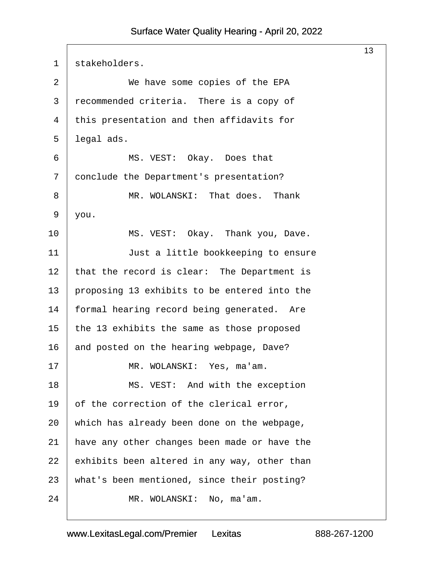<span id="page-13-0"></span>

| $\mathbf 1$    | stakeholders.                                |
|----------------|----------------------------------------------|
| $\overline{2}$ | We have some copies of the EPA               |
| 3              | recommended criteria. There is a copy of     |
| 4              | this presentation and then affidavits for    |
| 5              | legal ads.                                   |
| 6              | MS. VEST: Okay. Does that                    |
| 7              | donclude the Department's presentation?      |
| 8              | MR. WOLANSKI: That does. Thank               |
| 9              | you.                                         |
| 10             | MS. VEST: Okay. Thank you, Dave.             |
| 11             | Just a little bookkeeping to ensure          |
| 12             | that the record is clear: The Department is  |
| 13             | proposing 13 exhibits to be entered into the |
| 14             | formal hearing record being generated. Are   |
| 15             | the 13 exhibits the same as those proposed   |
| 16             | and posted on the hearing webpage, Dave?     |
| 17             | MR. WOLANSKI: Yes, ma'am.                    |
| 18             | MS. VEST: And with the exception             |
| 19             | of the correction of the clerical error,     |
| 20             | which has already been done on the webpage,  |
| 21             | have any other changes been made or have the |
| 22             | exhibits been altered in any way, other than |
| 23             | what's been mentioned, since their posting?  |
| 24             | MR. WOLANSKI: No, ma'am.                     |
|                |                                              |

 $\mathsf{I}$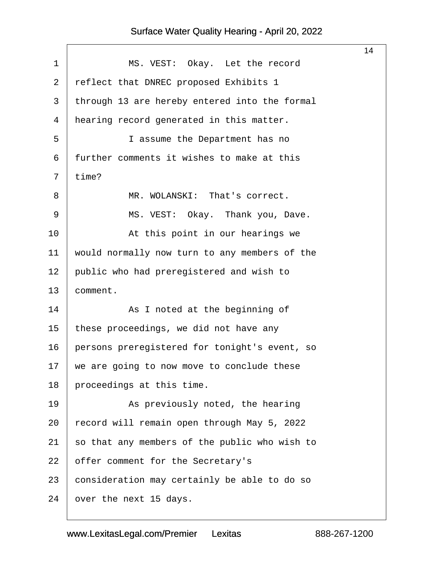|                |                                               | 14 |
|----------------|-----------------------------------------------|----|
| 1              | MS. VEST: Okay. Let the record                |    |
| 2              | reflect that DNREC proposed Exhibits 1        |    |
| 3              | through 13 are hereby entered into the formal |    |
| 4              | hearing record generated in this matter.      |    |
| 5              | I assume the Department has no                |    |
| 6              | further comments it wishes to make at this    |    |
| $\overline{7}$ | time?                                         |    |
| 8              | MR. WOLANSKI: That's correct.                 |    |
| 9              | MS. VEST: Okay. Thank you, Dave.              |    |
| 10             | At this point in our hearings we              |    |
| 11             | would normally now turn to any members of the |    |
| 12             | public who had preregistered and wish to      |    |
| 13             | comment.                                      |    |
| 14             | As I noted at the beginning of                |    |
| 15             | these proceedings, we did not have any        |    |
| 16             | persons preregistered for tonight's event, so |    |
| 17             | we are going to now move to conclude these    |    |
| 18             | proceedings at this time.                     |    |
| 19             | As previously noted, the hearing              |    |
| 20             | ecord will remain open through May 5, 2022    |    |
| 21             | so that any members of the public who wish to |    |
| 22             | offer comment for the Secretary's             |    |
| 23             | consideration may certainly be able to do so  |    |
| 24             | over the next 15 days.                        |    |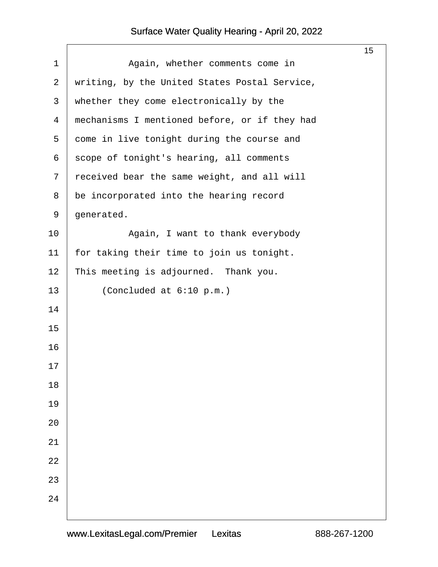|                |                                               | 15 |
|----------------|-----------------------------------------------|----|
| 1              | Again, whether comments come in               |    |
| $\overline{2}$ | writing, by the United States Postal Service, |    |
| 3              | whether they come electronically by the       |    |
| 4              | mechanisms I mentioned before, or if they had |    |
| 5              | dome in live tonight during the course and    |    |
| 6              | scope of tonight's hearing, all comments      |    |
| $\overline{7}$ | received bear the same weight, and all will   |    |
| 8              | be incorporated into the hearing record       |    |
| 9              | generated.                                    |    |
| 10             | Again, I want to thank everybody              |    |
| 11             | for taking their time to join us tonight.     |    |
| 12             | This meeting is adjourned. Thank you.         |    |
| 13             | (Concluded at 6:10 p.m.)                      |    |
| 14             |                                               |    |
| 15             |                                               |    |
| 16             |                                               |    |
| 17             |                                               |    |
| 18             |                                               |    |
| 19             |                                               |    |
| 20             |                                               |    |
| 21             |                                               |    |
| 22             |                                               |    |
| 23             |                                               |    |
| 24             |                                               |    |
|                |                                               |    |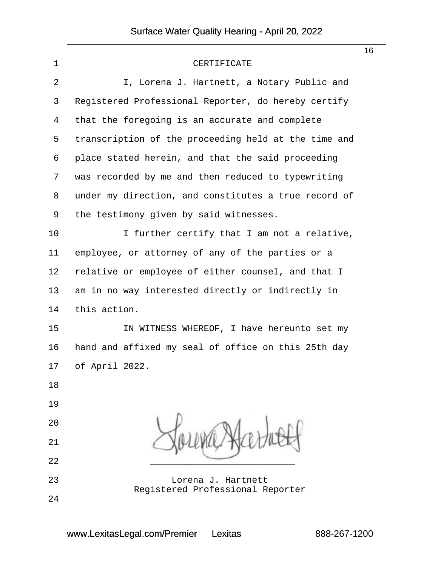|                |                                                               | 16 |
|----------------|---------------------------------------------------------------|----|
| 1              | <b>CERTIFICATE</b>                                            |    |
| $\overline{2}$ | I, Lorena J. Hartnett, a Notary Public and                    |    |
| 3              | Registered Professional Reporter, do hereby certify           |    |
| 4              | that the foregoing is an accurate and complete                |    |
| 5              | transcription of the proceeding held at the time and          |    |
| 6              | place stated herein, and that the said proceeding             |    |
| 7              | was recorded by me and then reduced to typewriting            |    |
| 8              | under my direction, and constitutes a true record of          |    |
| 9              | the testimony given by said witnesses.                        |    |
| 10             | I further certify that I am not a relative,                   |    |
| 11             | employee, or attorney of any of the parties or a              |    |
| 12             | elative or employee of either counsel, and that I             |    |
| 13             | am in no way interested directly or indirectly in             |    |
| 14             | this action.                                                  |    |
| 15             | IN WITNESS WHEREOF, I have hereunto set my                    |    |
| 16             | hand and affixed my seal of office on this 25th day           |    |
|                | 17 <b>bf</b> April 2022.                                      |    |
| 18             |                                                               |    |
| 19             |                                                               |    |
| 20             |                                                               |    |
| 21             |                                                               |    |
| 22             |                                                               |    |
| 23             | Lorena J. Hartnett<br><b>Registered Professional Reporter</b> |    |
| 24             |                                                               |    |
|                |                                                               |    |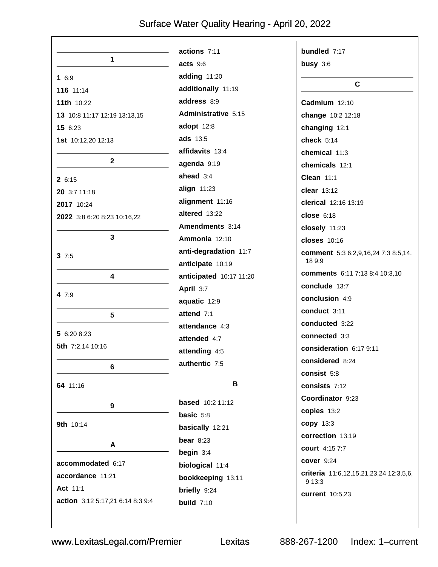|                                  | actions 7:11            | bundled 7:17                                    |
|----------------------------------|-------------------------|-------------------------------------------------|
| 1                                | acts 9:6                | busy $3:6$                                      |
| 16:9                             | adding 11:20            |                                                 |
| 116 11:14                        | additionally 11:19      | $\mathbf{C}$                                    |
| 11th 10:22                       | address 8:9             | Cadmium 12:10                                   |
| 13 10:8 11:17 12:19 13:13,15     | Administrative 5:15     | change 10:2 12:18                               |
| 15 6:23                          | adopt 12:8              | changing 12:1                                   |
| 1st 10:12,20 12:13               | ads 13:5                | check $5:14$                                    |
|                                  | affidavits 13:4         | chemical 11:3                                   |
| $\mathbf{2}$                     | agenda 9:19             | chemicals 12:1                                  |
| 2 6:15                           | ahead 3:4               | <b>Clean 11:1</b>                               |
| 20 3:7 11:18                     | align $11:23$           | clear 13:12                                     |
| 2017 10:24                       | alignment 11:16         | clerical 12:16 13:19                            |
| 2022 3:8 6:20 8:23 10:16,22      | altered 13:22           | $close$ 6:18                                    |
|                                  | Amendments 3:14         | closely 11:23                                   |
| 3                                | Ammonia 12:10           | <b>closes</b> 10:16                             |
| 37:5                             | anti-degradation 11:7   | comment 5:3 6:2,9,16,24 7:3 8:5,14<br>18 9:9    |
|                                  | anticipate 10:19        | comments 6:11 7:13 8:4 10:3,10                  |
| 4                                | anticipated 10:17 11:20 | conclude 13:7                                   |
| 4 7:9                            | April 3:7               | conclusion 4:9                                  |
|                                  | aquatic 12:9            | conduct 3:11                                    |
| 5                                | attend 7:1              | conducted 3:22                                  |
| 5 6:20 8:23                      | attendance 4:3          | connected 3:3                                   |
| 5th 7:2,14 10:16                 | attended 4:7            | consideration 6:17 9:11                         |
|                                  | attending 4:5           | considered 8:24                                 |
| 6                                | authentic 7:5           | consist 5:8                                     |
| 64 11:16                         | B                       | consists 7:12                                   |
|                                  |                         | Coordinator 9:23                                |
| 9                                | <b>based</b> 10:2 11:12 |                                                 |
|                                  | basic 5:8               | copies 13:2                                     |
| 9th 10:14                        | basically 12:21         | copy 13:3                                       |
| A                                | bear $8:23$             | correction 13:19                                |
|                                  | begin $3:4$             | court 4:15 7:7                                  |
| accommodated 6:17                | biological 11:4         | cover 9:24                                      |
| accordance 11:21                 | bookkeeping 13:11       | criteria 11:6,12,15,21,23,24 12:3,5,6<br>9 13:3 |
| <b>Act 11:1</b>                  | briefly 9:24            | current 10:5,23                                 |
| action 3:12 5:17,21 6:14 8:3 9:4 | <b>build</b> 7:10       |                                                 |

Lexitas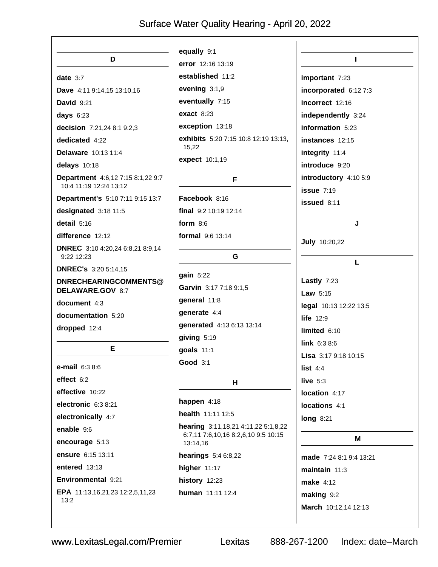| D                                                           | equally 9:1<br>error 12:16 13:19                | L                                        |
|-------------------------------------------------------------|-------------------------------------------------|------------------------------------------|
|                                                             | established 11:2                                |                                          |
| date $3:7$                                                  | evening 3:1,9                                   | important 7:23                           |
| Dave 4:11 9:14,15 13:10,16                                  |                                                 | incorporated 6:12 7:3                    |
| <b>David 9:21</b>                                           | eventually 7:15                                 | incorrect 12:16                          |
| days $6:23$                                                 | <b>exact 8:23</b>                               | independently 3:24                       |
| decision 7:21,24 8:1 9:2,3                                  | exception 13:18                                 | information 5:23                         |
| dedicated 4:22                                              | exhibits 5:20 7:15 10:8 12:19 13:13,<br>15,22   | instances 12:15                          |
| Delaware 10:13 11:4                                         | expect 10:1,19                                  | integrity 11:4                           |
| delays 10:18                                                |                                                 | introduce 9:20                           |
| Department 4:6,12 7:15 8:1,22 9:7<br>10:4 11:19 12:24 13:12 | F                                               | introductory 4:10 5:9<br>$i$ ssue $7:19$ |
| Department's 5:10 7:11 9:15 13:7                            | Facebook 8:16                                   | issued 8:11                              |
| designated 3:18 11:5                                        | final 9:2 10:19 12:14                           |                                          |
| detail 5:16                                                 | form $8:6$                                      | J                                        |
| difference 12:12                                            | formal 9:6 13:14                                |                                          |
| DNREC 3:10 4:20,24 6:8,21 8:9,14<br>$9:22$ 12:23            | G                                               | <b>July 10:20,22</b>                     |
| <b>DNREC's 3:20 5:14,15</b>                                 |                                                 | L                                        |
| DNRECHEARINGCOMMENTS@                                       | gain 5:22                                       | Lastly $7:23$                            |
| DELAWARE.GOV 8:7                                            | Garvin 3:17 7:18 9:1,5                          | Law $5:15$                               |
| document 4:3                                                | general 11:8                                    | legal 10:13 12:22 13:5                   |
| documentation 5:20                                          | generate 4:4                                    | life $12:9$                              |
| dropped 12:4                                                | generated 4:13 6:13 13:14                       | limited $6:10$                           |
|                                                             | giving 5:19                                     | <b>link</b> $6:38:6$                     |
| Е                                                           | goals 11:1                                      | Lisa 3:17 9:18 10:15                     |
| e-mail 6:3 8:6                                              | <b>Good 3:1</b>                                 | list $4:4$                               |
| effect 6:2                                                  | Н                                               | live $5:3$                               |
| effective 10:22                                             |                                                 | location 4:17                            |
| electronic 6:3 8:21                                         | happen 4:18                                     | locations 4:1                            |
| electronically 4:7                                          | health 11:11 12:5                               | <b>long 8:21</b>                         |
| enable 9:6                                                  | hearing 3:11, 18, 21 4:11, 22 5:1, 8, 22        |                                          |
| encourage 5:13                                              | 6:7,11 7:6,10,16 8:2,6,10 9:5 10:15<br>13:14,16 | M                                        |
| ensure 6:15 13:11                                           | hearings 5:4 6:8,22                             | made 7:24 8:1 9:4 13:21                  |
| entered $13:13$                                             | higher $11:17$                                  | maintain $11:3$                          |
| Environmental 9:21                                          | history 12:23                                   | <b>make</b> 4:12                         |
| EPA 11:13,16,21,23 12:2,5,11,23                             | human 11:11 12:4                                | making 9:2                               |
| 13:2                                                        |                                                 | March 10:12,14 12:13                     |
|                                                             |                                                 |                                          |

Lexitas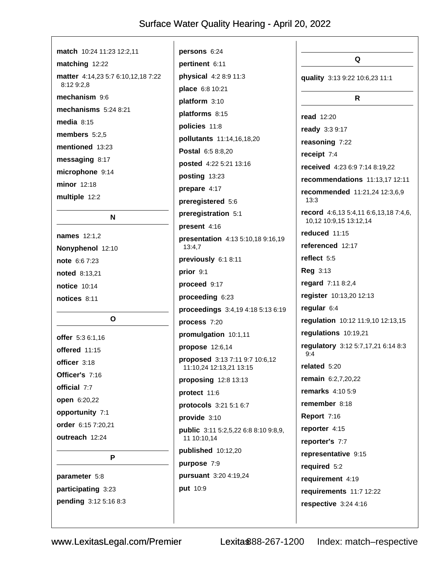| match 10:24 11:23 12:2,11          |                                             |                                                                 |
|------------------------------------|---------------------------------------------|-----------------------------------------------------------------|
| matching 12:22                     | persons 6:24<br>pertinent 6:11              | Q                                                               |
| matter 4:14,23 5:7 6:10,12,18 7:22 | physical 4:2 8:9 11:3                       |                                                                 |
| 8:12 9:2,8                         | place 6:8 10:21                             | quality 3:13 9:22 10:6,23 11:1                                  |
| mechanism 9:6                      | platform 3:10                               | R.                                                              |
| mechanisms $5:248:21$              | platforms 8:15                              |                                                                 |
| media $8:15$                       |                                             | <b>read</b> 12:20                                               |
| members $5:2,5$                    | policies 11:8                               | ready 3:3 9:17                                                  |
| mentioned 13:23                    | pollutants 11:14,16,18,20                   | reasoning 7:22                                                  |
| messaging 8:17                     | Postal 6:5 8:8,20                           | receipt $7:4$                                                   |
| microphone 9:14                    | posted 4:22 5:21 13:16                      | received 4:23 6:9 7:14 8:19,22                                  |
| minor 12:18                        | posting 13:23                               | recommendations 11:13,17 12:11                                  |
| multiple 12:2                      | prepare 4:17                                | recommended 11:21,24 12:3,6,9<br>13:3                           |
|                                    | preregistered 5:6                           |                                                                 |
| N                                  | preregistration 5:1                         | record 4:6,13 5:4,11 6:6,13,18 7:4,6,<br>10,12 10:9,15 13:12,14 |
| <b>names</b> 12:1,2                | present 4:16                                | reduced 11:15                                                   |
| Nonyphenol 12:10                   | presentation 4:13 5:10,18 9:16,19<br>13:4,7 | referenced 12:17                                                |
| note 6:6 7:23                      | previously 6:1 8:11                         | reflect $5:5$                                                   |
| <b>noted</b> 8:13,21               | prior 9:1                                   | <b>Reg 3:13</b>                                                 |
| <b>notice</b> 10:14                | proceed 9:17                                | regard 7:11 8:2,4                                               |
| notices 8:11                       | proceeding 6:23                             | register 10:13,20 12:13                                         |
|                                    | proceedings 3:4,19 4:18 5:13 6:19           | regular 6:4                                                     |
| O                                  | process 7:20                                | regulation 10:12 11:9,10 12:13,15                               |
| offer 5:3 6:1,16                   | promulgation 10:1,11                        | regulations 10:19,21                                            |
| offered 11:15                      | propose 12:6,14                             | regulatory 3:12 5:7,17,21 6:14 8:3                              |
| officer 3:18                       | proposed 3:13 7:11 9:7 10:6,12              | 9:4                                                             |
| Officer's 7:16                     | 11:10,24 12:13,21 13:15                     | related 5:20                                                    |
| official 7:7                       | proposing $12:8$ 13:13                      | remain 6:2,7,20,22                                              |
|                                    | protect 11:6                                | <b>remarks</b> 4:10 5:9                                         |
| open 6:20,22                       | protocols 3:21 5:1 6:7                      | remember 8:18                                                   |
| opportunity 7:1                    | provide 3:10                                | <b>Report 7:16</b>                                              |
| order 6:15 7:20,21                 | <b>public</b> 3:11 5:2,5,22 6:8 8:10 9:8,9, | reporter 4:15                                                   |
| outreach 12:24                     | 11 10:10,14                                 | reporter's 7:7                                                  |
| P                                  | published 10:12,20                          | representative 9:15                                             |
|                                    | purpose 7:9                                 | required 5:2                                                    |
| parameter 5:8                      | pursuant 3:20 4:19,24                       | requirement 4:19                                                |
| participating 3:23                 | put 10:9                                    | requirements 11:7 12:22                                         |
| pending 3:12 5:16 8:3              |                                             | respective 3:24 4:16                                            |
|                                    |                                             |                                                                 |
|                                    |                                             |                                                                 |